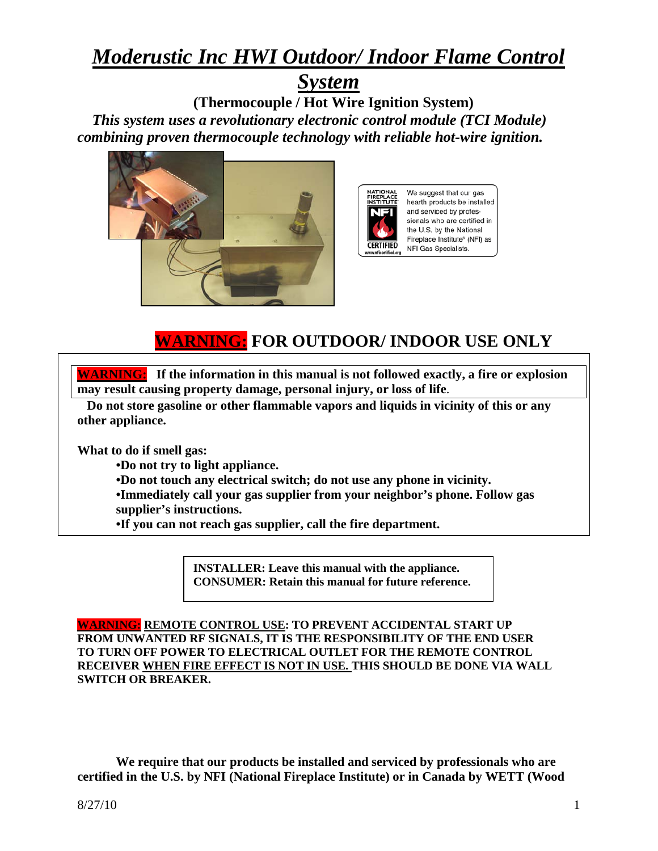# *Moderustic Inc HWI Outdoor/ Indoor Flame Control*

# *System*

**(Thermocouple / Hot Wire Ignition System)**   *This system uses a revolutionary electronic control module (TCI Module) combining proven thermocouple technology with reliable hot-wire ignition.*





# **WARNING: FOR OUTDOOR/ INDOOR USE ONLY**

**WARNING: If the information in this manual is not followed exactly, a fire or explosion may result causing property damage, personal injury, or loss of life**.

 **Do not store gasoline or other flammable vapors and liquids in vicinity of this or any other appliance.**

**What to do if smell gas:**

**•Do not try to light appliance.**

**•Do not touch any electrical switch; do not use any phone in vicinity.**

**•Immediately call your gas supplier from your neighbor's phone. Follow gas supplier's instructions.**

**•If you can not reach gas supplier, call the fire department.**

**INSTALLER: Leave this manual with the appliance. CONSUMER: Retain this manual for future reference.**

**WARNING: REMOTE CONTROL USE: TO PREVENT ACCIDENTAL START UP FROM UNWANTED RF SIGNALS, IT IS THE RESPONSIBILITY OF THE END USER TO TURN OFF POWER TO ELECTRICAL OUTLET FOR THE REMOTE CONTROL RECEIVER WHEN FIRE EFFECT IS NOT IN USE. THIS SHOULD BE DONE VIA WALL SWITCH OR BREAKER.**

**We require that our products be installed and serviced by professionals who are certified in the U.S. by NFI (National Fireplace Institute) or in Canada by WETT (Wood**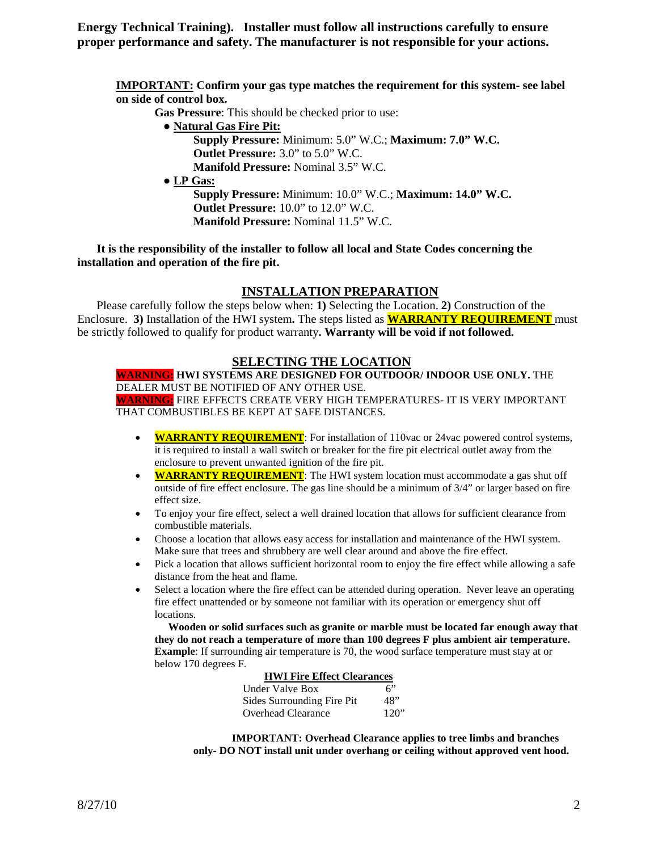**Energy Technical Training). Installer must follow all instructions carefully to ensure proper performance and safety. The manufacturer is not responsible for your actions.**

**IMPORTANT: Confirm your gas type matches the requirement for this system- see label on side of control box.**

 **Gas Pressure**: This should be checked prior to use:

● **Natural Gas Fire Pit:** 

**Supply Pressure:** Minimum: 5.0" W.C.; **Maximum: 7.0" W.C. Outlet Pressure:** 3.0" to 5.0" W.C. **Manifold Pressure:** Nominal 3.5" W.C.

 **● LP Gas:**

**Supply Pressure:** Minimum: 10.0" W.C.; **Maximum: 14.0" W.C. Outlet Pressure:** 10.0" to 12.0" W.C. **Manifold Pressure:** Nominal 11.5" W.C.

**It is the responsibility of the installer to follow all local and State Codes concerning the installation and operation of the fire pit.**

## **INSTALLATION PREPARATION**

Please carefully follow the steps below when: **1)** Selecting the Location. **2)** Construction of the Enclosure. **3)** Installation of the HWI system**.** The steps listed as **WARRANTY REQUIREMENT** must be strictly followed to qualify for product warranty**. Warranty will be void if not followed.**

## **SELECTING THE LOCATION**

**WARNING: HWI SYSTEMS ARE DESIGNED FOR OUTDOOR/ INDOOR USE ONLY.** THE DEALER MUST BE NOTIFIED OF ANY OTHER USE. **WARNING:** FIRE EFFECTS CREATE VERY HIGH TEMPERATURES- IT IS VERY IMPORTANT THAT COMBUSTIBLES BE KEPT AT SAFE DISTANCES.

- **WARRANTY REQUIREMENT**: For installation of 110vac or 24vac powered control systems, it is required to install a wall switch or breaker for the fire pit electrical outlet away from the enclosure to prevent unwanted ignition of the fire pit.
- **WARRANTY REQUIREMENT**: The HWI system location must accommodate a gas shut off outside of fire effect enclosure. The gas line should be a minimum of 3/4" or larger based on fire effect size.
- To enjoy your fire effect, select a well drained location that allows for sufficient clearance from combustible materials.
- Choose a location that allows easy access for installation and maintenance of the HWI system. Make sure that trees and shrubbery are well clear around and above the fire effect.
- Pick a location that allows sufficient horizontal room to enjoy the fire effect while allowing a safe distance from the heat and flame.
- Select a location where the fire effect can be attended during operation. Never leave an operating fire effect unattended or by someone not familiar with its operation or emergency shut off locations.

 **Wooden or solid surfaces such as granite or marble must be located far enough away that they do not reach a temperature of more than 100 degrees F plus ambient air temperature. Example**: If surrounding air temperature is 70, the wood surface temperature must stay at or below 170 degrees F.

|--|

| Under Valve Box            | 6"   |
|----------------------------|------|
| Sides Surrounding Fire Pit | 48"  |
| Overhead Clearance         | 120" |

**IMPORTANT: Overhead Clearance applies to tree limbs and branches only- DO NOT install unit under overhang or ceiling without approved vent hood.**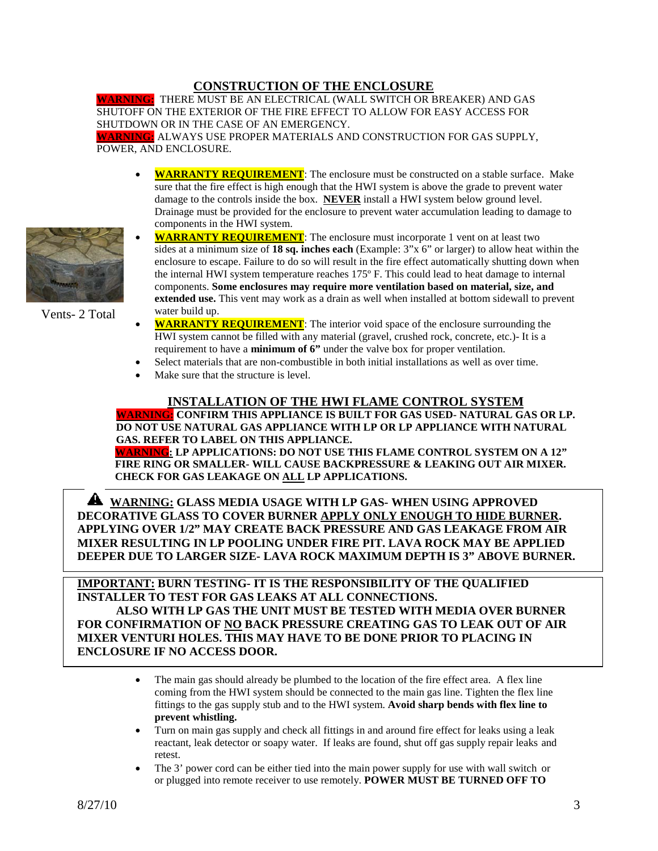## **CONSTRUCTION OF THE ENCLOSURE**

**WARNING:** THERE MUST BE AN ELECTRICAL (WALL SWITCH OR BREAKER) AND GAS SHUTOFF ON THE EXTERIOR OF THE FIRE EFFECT TO ALLOW FOR EASY ACCESS FOR SHUTDOWN OR IN THE CASE OF AN EMERGENCY. **WARNING:** ALWAYS USE PROPER MATERIALS AND CONSTRUCTION FOR GAS SUPPLY,

POWER, AND ENCLOSURE.

- **WARRANTY REQUIREMENT**: The enclosure must be constructed on a stable surface. Make sure that the fire effect is high enough that the HWI system is above the grade to prevent water damage to the controls inside the box. **NEVER** install a HWI system below ground level. Drainage must be provided for the enclosure to prevent water accumulation leading to damage to components in the HWI system.
- **WARRANTY REQUIREMENT**: The enclosure must incorporate 1 vent on at least two sides at a minimum size of **18 sq. inches each** (Example: 3"x 6" or larger) to allow heat within the enclosure to escape. Failure to do so will result in the fire effect automatically shutting down when the internal HWI system temperature reaches 175º F. This could lead to heat damage to internal components. **Some enclosures may require more ventilation based on material, size, and extended use.** This vent may work as a drain as well when installed at bottom sidewall to prevent water build up.
- **WARRANTY REQUIREMENT**: The interior void space of the enclosure surrounding the HWI system cannot be filled with any material (gravel, crushed rock, concrete, etc.)- It is a requirement to have a **minimum of 6"** under the valve box for proper ventilation.
- Select materials that are non-combustible in both initial installations as well as over time.
- Make sure that the structure is level.

#### **INSTALLATION OF THE HWI FLAME CONTROL SYSTEM**

**WARNING: CONFIRM THIS APPLIANCE IS BUILT FOR GAS USED- NATURAL GAS OR LP. DO NOT USE NATURAL GAS APPLIANCE WITH LP OR LP APPLIANCE WITH NATURAL GAS. REFER TO LABEL ON THIS APPLIANCE. WARNING: LP APPLICATIONS: DO NOT USE THIS FLAME CONTROL SYSTEM ON A 12" FIRE RING OR SMALLER- WILL CAUSE BACKPRESSURE & LEAKING OUT AIR MIXER.**

 **CHECK FOR GAS LEAKAGE ON ALL LP APPLICATIONS.**

 **WARNING: GLASS MEDIA USAGE WITH LP GAS- WHEN USING APPROVED DECORATIVE GLASS TO COVER BURNER APPLY ONLY ENOUGH TO HIDE BURNER. APPLYING OVER 1/2" MAY CREATE BACK PRESSURE AND GAS LEAKAGE FROM AIR MIXER RESULTING IN LP POOLING UNDER FIRE PIT. LAVA ROCK MAY BE APPLIED DEEPER DUE TO LARGER SIZE- LAVA ROCK MAXIMUM DEPTH IS 3" ABOVE BURNER.** 

**IMPORTANT: BURN TESTING- IT IS THE RESPONSIBILITY OF THE QUALIFIED INSTALLER TO TEST FOR GAS LEAKS AT ALL CONNECTIONS. ALSO WITH LP GAS THE UNIT MUST BE TESTED WITH MEDIA OVER BURNER FOR CONFIRMATION OF NO BACK PRESSURE CREATING GAS TO LEAK OUT OF AIR MIXER VENTURI HOLES. THIS MAY HAVE TO BE DONE PRIOR TO PLACING IN ENCLOSURE IF NO ACCESS DOOR.** 

- The main gas should already be plumbed to the location of the fire effect area. A flex line coming from the HWI system should be connected to the main gas line. Tighten the flex line fittings to the gas supply stub and to the HWI system. **Avoid sharp bends with flex line to prevent whistling.**
- Turn on main gas supply and check all fittings in and around fire effect for leaks using a leak reactant, leak detector or soapy water. If leaks are found, shut off gas supply repair leaks and retest.
- The 3' power cord can be either tied into the main power supply for use with wall switch or or plugged into remote receiver to use remotely. **POWER MUST BE TURNED OFF TO**



Vents- 2 Total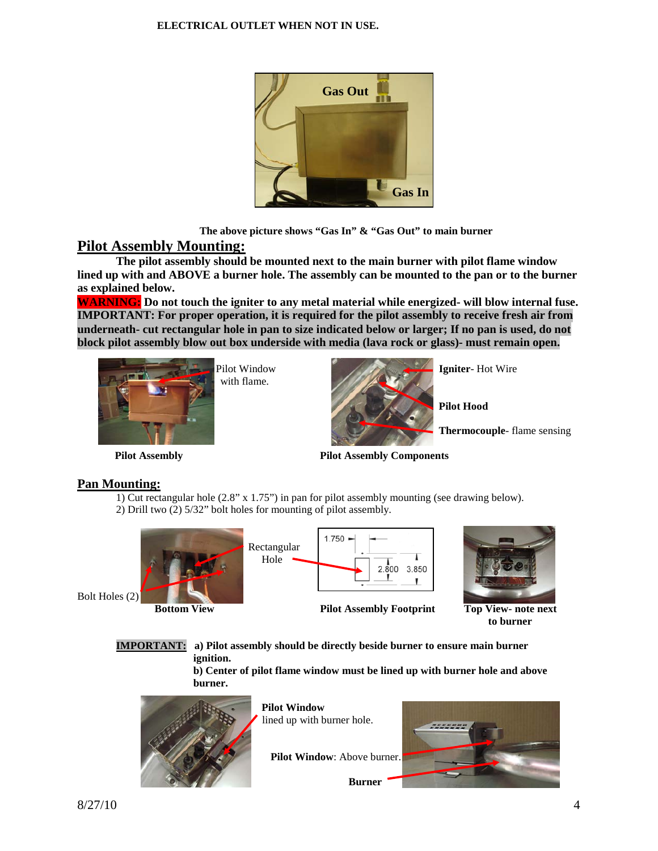

 **The above picture shows "Gas In" & "Gas Out" to main burner**

# **Pilot Assembly Mounting:**

**The pilot assembly should be mounted next to the main burner with pilot flame window lined up with and ABOVE a burner hole. The assembly can be mounted to the pan or to the burner as explained below.**

**WARNING: Do not touch the igniter to any metal material while energized- will blow internal fuse. IMPORTANT: For proper operation, it is required for the pilot assembly to receive fresh air from underneath- cut rectangular hole in pan to size indicated below or larger; If no pan is used, do not block pilot assembly blow out box underside with media (lava rock or glass)- must remain open.**



with flame.



**Pilot Hood**

**Thermocouple**- flame sensing

**Pilot Assembly Pilot Assembly Components**

# **Pan Mounting:**

1) Cut rectangular hole (2.8" x 1.75") in pan for pilot assembly mounting (see drawing below).

2) Drill two (2) 5/32" bolt holes for mounting of pilot assembly.



1.750 Rectangular Hole  $2.\overline{8}00$ 3.850

**Bottom View Pilot Assembly Footprint Top View- note next** 



 **to burner**

**IMPORTANT: a) Pilot assembly should be directly beside burner to ensure main burner ignition.** 

> **b) Center of pilot flame window must be lined up with burner hole and above burner.**



 **Pilot Window** lined up with burner hole.

**Pilot Window**: Above burner.

 **Burner**

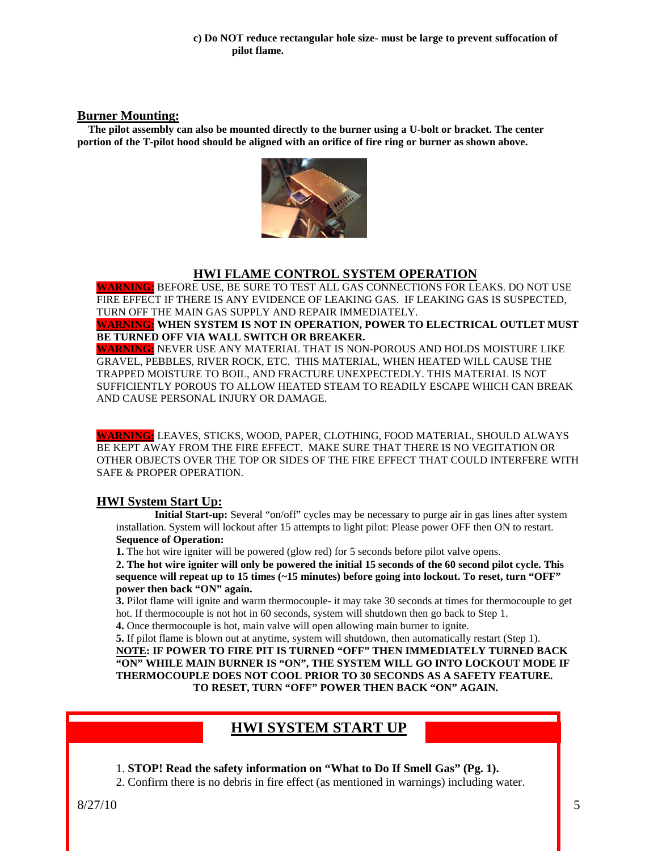#### **Burner Mounting:**

 **The pilot assembly can also be mounted directly to the burner using a U-bolt or bracket. The center portion of the T-pilot hood should be aligned with an orifice of fire ring or burner as shown above.**



## **HWI FLAME CONTROL SYSTEM OPERATION**

**WARNING:** BEFORE USE, BE SURE TO TEST ALL GAS CONNECTIONS FOR LEAKS. DO NOT USE FIRE EFFECT IF THERE IS ANY EVIDENCE OF LEAKING GAS. IF LEAKING GAS IS SUSPECTED, TURN OFF THE MAIN GAS SUPPLY AND REPAIR IMMEDIATELY.

**WARNING: WHEN SYSTEM IS NOT IN OPERATION, POWER TO ELECTRICAL OUTLET MUST BE TURNED OFF VIA WALL SWITCH OR BREAKER.**

**WARNING:** NEVER USE ANY MATERIAL THAT IS NON-POROUS AND HOLDS MOISTURE LIKE GRAVEL, PEBBLES, RIVER ROCK, ETC. THIS MATERIAL, WHEN HEATED WILL CAUSE THE TRAPPED MOISTURE TO BOIL, AND FRACTURE UNEXPECTEDLY. THIS MATERIAL IS NOT SUFFICIENTLY POROUS TO ALLOW HEATED STEAM TO READILY ESCAPE WHICH CAN BREAK AND CAUSE PERSONAL INJURY OR DAMAGE.

**WARNING:** LEAVES, STICKS, WOOD, PAPER, CLOTHING, FOOD MATERIAL, SHOULD ALWAYS BE KEPT AWAY FROM THE FIRE EFFECT. MAKE SURE THAT THERE IS NO VEGITATION OR OTHER OBJECTS OVER THE TOP OR SIDES OF THE FIRE EFFECT THAT COULD INTERFERE WITH SAFE & PROPER OPERATION.

**HWI System Start Up: Initial Start-up:** Several "on/off" cycles may be necessary to purge air in gas lines after system installation. System will lockout after 15 attempts to light pilot: Please power OFF then ON to restart. **Sequence of Operation:**

**1.** The hot wire igniter will be powered (glow red) for 5 seconds before pilot valve opens.

**2. The hot wire igniter will only be powered the initial 15 seconds of the 60 second pilot cycle. This sequence will repeat up to 15 times (~15 minutes) before going into lockout. To reset, turn "OFF" power then back "ON" again.**

**3.** Pilot flame will ignite and warm thermocouple- it may take 30 seconds at times for thermocouple to get hot. If thermocouple is not hot in 60 seconds, system will shutdown then go back to Step 1.

**4.** Once thermocouple is hot, main valve will open allowing main burner to ignite.

**5.** If pilot flame is blown out at anytime, system will shutdown, then automatically restart (Step 1). **NOTE: IF POWER TO FIRE PIT IS TURNED "OFF" THEN IMMEDIATELY TURNED BACK "ON" WHILE MAIN BURNER IS "ON", THE SYSTEM WILL GO INTO LOCKOUT MODE IF THERMOCOUPLE DOES NOT COOL PRIOR TO 30 SECONDS AS A SAFETY FEATURE. TO RESET, TURN "OFF" POWER THEN BACK "ON" AGAIN.**

# **HWI SYSTEM START UP**

1. **STOP! Read the safety information on "What to Do If Smell Gas" (Pg. 1).**

2. Confirm there is no debris in fire effect (as mentioned in warnings) including water.